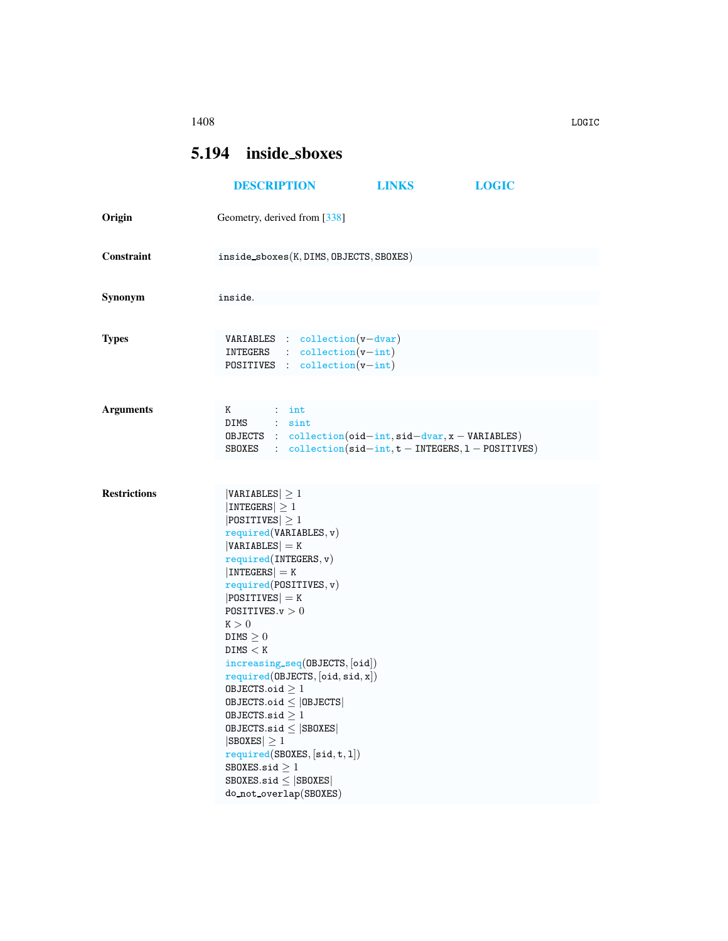## 1408 LOGIC

## <span id="page-0-0"></span>5.194 inside sboxes

|                     | <b>DESCRIPTION</b>                                                                                                                                                                                                                                                                                                                                                                                                                                                                                                                                                                                   | <b>LINKS</b> | <b>LOGIC</b> |  |
|---------------------|------------------------------------------------------------------------------------------------------------------------------------------------------------------------------------------------------------------------------------------------------------------------------------------------------------------------------------------------------------------------------------------------------------------------------------------------------------------------------------------------------------------------------------------------------------------------------------------------------|--------------|--------------|--|
| Origin              | Geometry, derived from [338]                                                                                                                                                                                                                                                                                                                                                                                                                                                                                                                                                                         |              |              |  |
| Constraint          | inside_sboxes(K, DIMS, OBJECTS, SBOXES)                                                                                                                                                                                                                                                                                                                                                                                                                                                                                                                                                              |              |              |  |
| Synonym             | inside.                                                                                                                                                                                                                                                                                                                                                                                                                                                                                                                                                                                              |              |              |  |
| <b>Types</b>        | <b>VARIABLES</b> : collection $(v - dvar)$<br>$INTEGRS$ : $collection(v-int)$<br>POSITIVES : collection(v-int)                                                                                                                                                                                                                                                                                                                                                                                                                                                                                       |              |              |  |
| <b>Arguments</b>    | K<br>$:$ int<br>DIMS : sint<br>OBJECTS : $collection(oid-int, sid-dvar, x - VARIABLES)$<br>SBOXES : $\text{collection}(\text{sid} - \text{int}, t - \text{INTERS}, 1 - \text{POSITION})$                                                                                                                                                                                                                                                                                                                                                                                                             |              |              |  |
| <b>Restrictions</b> | $ VARIABLES  \geq 1$<br>$ INTEGERS  \geq 1$<br>$ POSITIVES  \geq 1$<br>required(VARIABLES, v)<br>$ VARIABLES $ = K<br>required(INTERS, v)<br>$ INTEGERS  = K$<br>required(POSTTIVES, v)<br>$ POSITIVES $ = K<br>POSITIVES. $v > 0$<br>K > 0<br>DIMS $\geq 0$<br>DIMS < K<br>increasing_seq(OBJECTS, [oid])<br>required(0BJECTS, [oid, sid, x])<br>OBJECTS.oid $\geq 1$<br>$0$ BJECTS.oid $\leq$  OBJECTS <br>OBJECTS.sid $\geq 1$<br>$0$ BJECTS.sid $\leq$ SB0XES<br>$ SBOKES  \geq 1$<br>required(SBOXES, [sid, t, 1])<br>SBOXES.sid $\geq 1$<br>SBOXES.sid $\leq$ SBOXES<br>do_not_overlap(SBOXES) |              |              |  |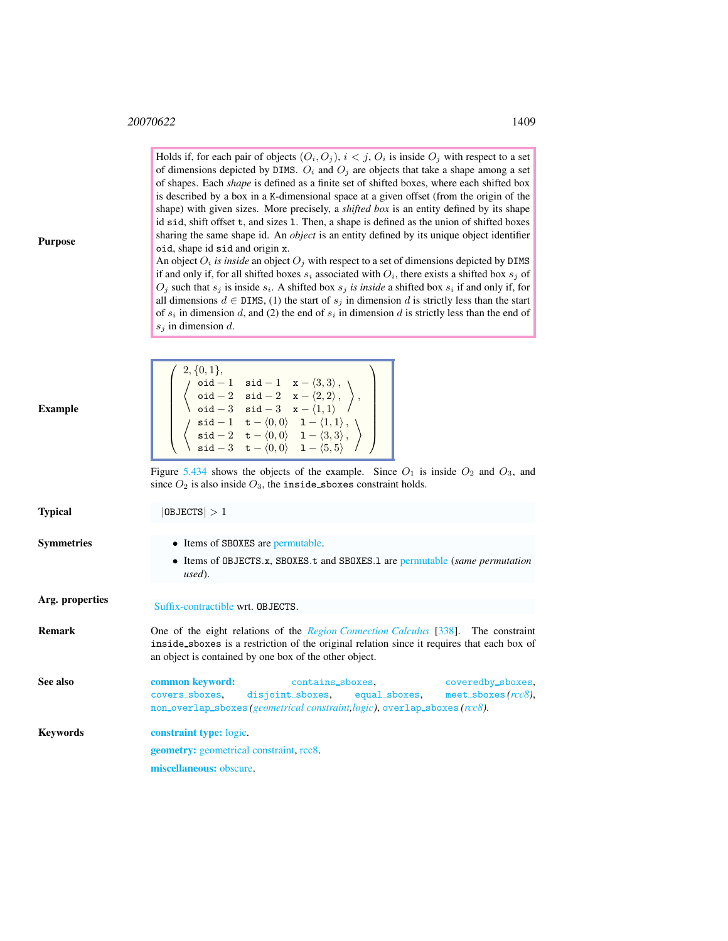$\neq$  2, {0, 1},

Holds if, for each pair of objects  $(O_i, O_j)$ ,  $i < j$ ,  $O_i$  is inside  $O_j$  with respect to a set of dimensions depicted by DIMS.  $O_i$  and  $O_j$  are objects that take a shape among a set of shapes. Each *shape* is defined as a finite set of shifted boxes, where each shifted box is described by a box in a K-dimensional space at a given offset (from the origin of the shape) with given sizes. More precisely, a *shifted box* is an entity defined by its shape id sid, shift offset t, and sizes l. Then, a shape is defined as the union of shifted boxes sharing the same shape id. An *object* is an entity defined by its unique object identifier oid, shape id sid and origin x.

An object  $O_i$  *is inside* an object  $O_j$  with respect to a set of dimensions depicted by DIMS if and only if, for all shifted boxes  $s_i$  associated with  $O_i$ , there exists a shifted box  $s_j$  of  $O_j$  such that  $s_j$  is inside  $s_i$ . A shifted box  $s_j$  *is inside* a shifted box  $s_i$  if and only if, for all dimensions  $d \in$  DIMS, (1) the start of  $s_j$  in dimension d is strictly less than the start of  $s_i$  in dimension d, and (2) the end of  $s_i$  in dimension d is strictly less than the end of  $s_j$  in dimension d.

 $\setminus$ 

Purpose

<span id="page-1-0"></span>

| Example         | $\left\{\begin{array}{c} \left(\begin{array}{cc} \texttt{oid} -1 & \texttt{sid} -1 & x - \langle 3,3\rangle\,,\ \texttt{oid} -2 & \texttt{sid} -2 & x - \langle 2,2\rangle\,,\ \texttt{oid} -3 & \texttt{sid} -3 & x - \langle 1,1\rangle\,,\ \texttt{sid} -1 & \texttt{t} - \langle 0,0\rangle & 1 - \langle 1,1\rangle\,,\ \texttt{sid} -2 & \texttt{t} - \langle 0,0\rangle & 1 - \langle 3,3\rangle,\ \texttt{sid} -3 & \texttt{t} - \langle 0,0\rangle & 1 - \langle 5$ |  |  |  |
|-----------------|------------------------------------------------------------------------------------------------------------------------------------------------------------------------------------------------------------------------------------------------------------------------------------------------------------------------------------------------------------------------------------------------------------------------------------------------------------------------------|--|--|--|
|                 | Figure 5.434 shows the objects of the example. Since $O_1$ is inside $O_2$ and $O_3$ , and<br>since $O_2$ is also inside $O_3$ , the inside_sboxes constraint holds.                                                                                                                                                                                                                                                                                                         |  |  |  |
| Typical         | 0BJECTS >1                                                                                                                                                                                                                                                                                                                                                                                                                                                                   |  |  |  |
| Symmetries      | • Items of SBOXES are permutable.<br>• Items of OBJECTS.x, SBOXES.t and SBOXES.1 are permutable (same permutation<br>used).                                                                                                                                                                                                                                                                                                                                                  |  |  |  |
| Arg. properties | Suffix-contractible wrt. OBJECTS.                                                                                                                                                                                                                                                                                                                                                                                                                                            |  |  |  |
| Remark          | One of the eight relations of the <i>Region Connection Calculus</i> [338]. The constraint<br>inside_sboxes is a restriction of the original relation since it requires that each box of<br>an object is contained by one box of the other object.                                                                                                                                                                                                                            |  |  |  |
| See also        | common keyword:<br>contains_sboxes, coveredby_sboxes,<br>covers_sboxes, disjoint_sboxes, equal_sboxes, meet_sboxes(rcc8),<br>non_overlap_sboxes( <i>geometrical constraint, logic</i> ), overlap_sboxes( <i>rcc8</i> ).                                                                                                                                                                                                                                                      |  |  |  |
| Kevwords        | <b>constraint type:</b> logic.                                                                                                                                                                                                                                                                                                                                                                                                                                               |  |  |  |
|                 | <b>geometry:</b> geometrical constraint, rcc8.                                                                                                                                                                                                                                                                                                                                                                                                                               |  |  |  |
|                 | miscellaneous: obscure.                                                                                                                                                                                                                                                                                                                                                                                                                                                      |  |  |  |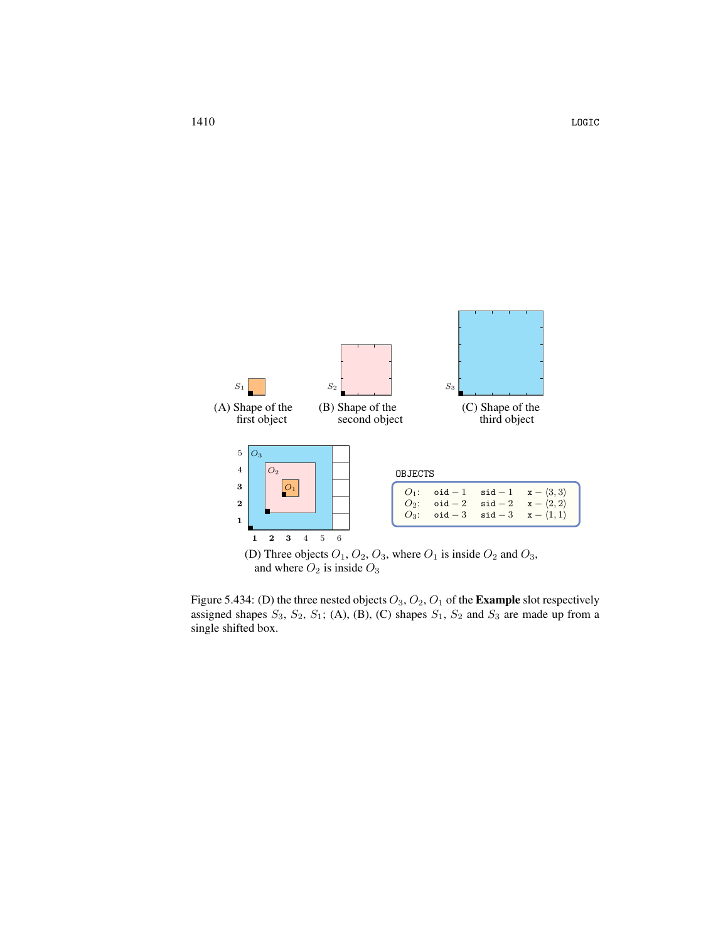

<span id="page-2-0"></span>

Figure 5.434: (D) the three nested objects  $O_3$ ,  $O_2$ ,  $O_1$  of the **Example** slot respectively assigned shapes  $S_3$ ,  $S_2$ ,  $S_1$ ; (A), (B), (C) shapes  $S_1$ ,  $S_2$  and  $S_3$  are made up from a single shifted box.